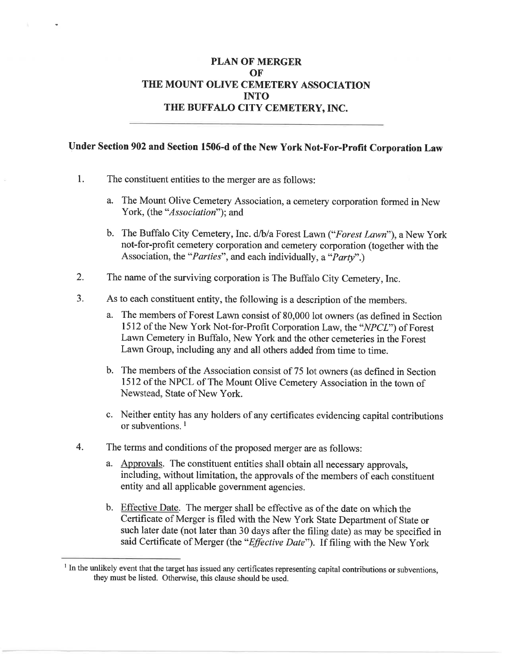#### **PLAN OF MERGER** OF THE MOUNT OLIVE CEMETERY ASSOCIATION **INTO** THE BUFFALO CITY CEMETERY, INC.

#### Under Section 902 and Section 1506-d of the New York Not-For-Profit Corporation Law

- $1.$ The constituent entities to the merger are as follows:
	- a. The Mount Olive Cemetery Association, a cemetery corporation formed in New York, (the "*Association*"); and
	- b. The Buffalo City Cemetery, Inc. d/b/a Forest Lawn ("Forest Lawn"), a New York not-for-profit cemetery corporation and cemetery corporation (together with the Association, the "*Parties*", and each individually, a "*Party*".)
- $2.$ The name of the surviving corporation is The Buffalo City Cemetery, Inc.
- $3<sub>1</sub>$ As to each constituent entity, the following is a description of the members.
	- a. The members of Forest Lawn consist of 80,000 lot owners (as defined in Section 1512 of the New York Not-for-Profit Corporation Law, the "NPCL") of Forest Lawn Cemetery in Buffalo, New York and the other cemeteries in the Forest Lawn Group, including any and all others added from time to time.
	- b. The members of the Association consist of 75 lot owners (as defined in Section 1512 of the NPCL of The Mount Olive Cemetery Association in the town of Newstead, State of New York.
	- c. Neither entity has any holders of any certificates evidencing capital contributions or subventions.<sup>1</sup>
- $4.$ The terms and conditions of the proposed merger are as follows:
	- a. Approvals. The constituent entities shall obtain all necessary approvals, including, without limitation, the approvals of the members of each constituent entity and all applicable government agencies.
	- b. Effective Date. The merger shall be effective as of the date on which the Certificate of Merger is filed with the New York State Department of State or such later date (not later than 30 days after the filing date) as may be specified in said Certificate of Merger (the "Effective Date"). If filing with the New York

<sup>&</sup>lt;sup>1</sup> In the unlikely event that the target has issued any certificates representing capital contributions or subventions, they must be listed. Otherwise, this clause should be used.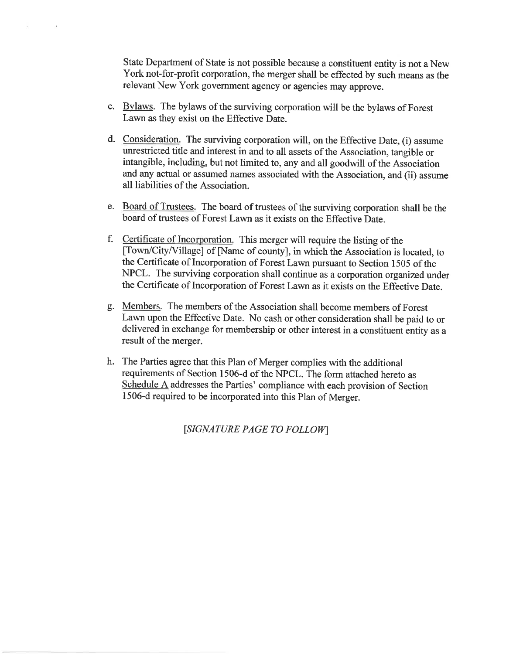State Department of State is not possible because a constituent entity is not a New York not-for-profit corporation, the merger shall be effected by such means as the relevant New York government agency or agencies may approve.

c. Bylaws. The bylaws of the surviving corporation will be the bylaws of Forest Lawn as they exist on the Effective Date.

 $\epsilon$ 

- d. Consideration. The surviving corporation will, on the Effective Date, (i) assume unrestricted title and interest in and to all assets of the Association, tangible or intangible, including, but not limited to, any and all goodwill of the Association and any actual or assumed names associated with the Association, and (ii) assume all liabilities of the Association.
- e. Board of Trustees. The board of trustees of the surviving corporation shall be the board of trustees of Forest Lawn as it exists on the Effective Date.
- f. Certificate of Incorporation. This merger will require the listing of the [Town/City/Village] of [Name of county], in which the Association is located, to the Certificate of Incorporation of Forest Lawn pursuant to Section 1505 of the NPCL. The surviving corporation shall continue as a corporation organized under the Certificate of Incorporation of Forest Lawn as it exists on the Effective Date.
- g. Members. The members of the Association shall become members of Forest Lawn upon the Effective Date. No cash or other consideration shall be paid to or delivered in exchange for membership or other interest in a constituent entity as a result of the merger.
- h. The Parties agree that this Plan of Merger complies with the additional requirements of Section 1506-d of the NPCL. The form attached hereto as Schedule A addresses the Parties' compliance with each provision of Section 1506-d required to be incorporated into this Plan of Merger.

[SIGNATURE PAGE TO FOLLOW]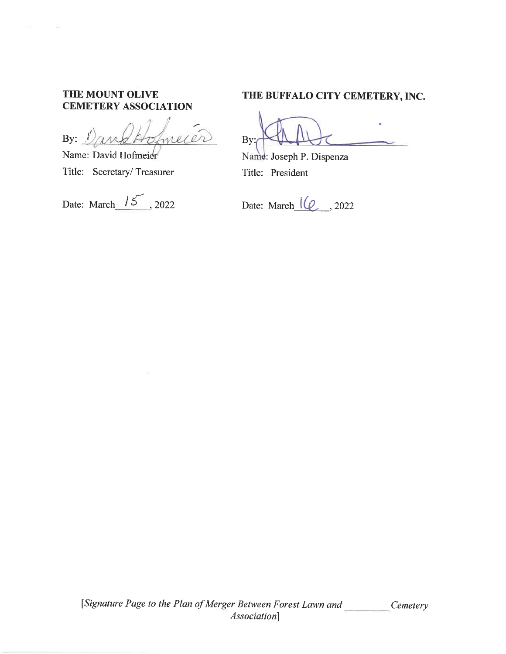#### THE MOUNT OLIVE **CEMETERY ASSOCIATION**

meier By:  $\frac{1}{2}$ 

Name: David Hofmeier Title: Secretary/Treasurer

Date: March  $15$ , 2022

#### THE BUFFALO CITY CEMETERY, INC.

 $By:$ 

Name: Joseph P. Dispenza Title: President

Date: March  $\lbrack \ell \ell \rbrack$ , 2022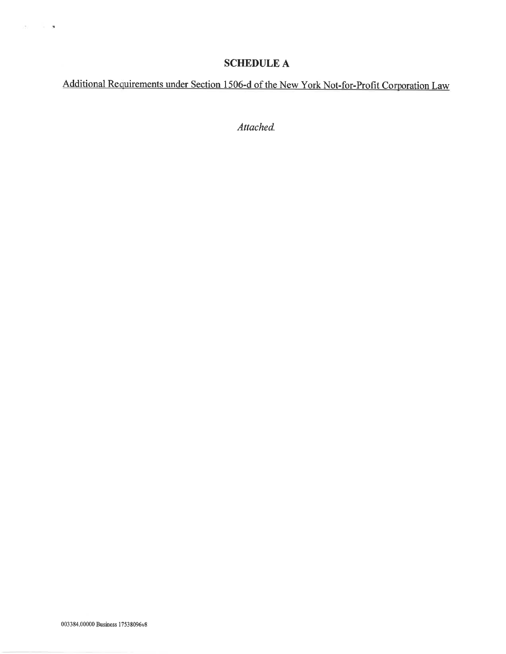#### **SCHEDULE A**

Additional Requirements under Section 1506-d of the New York Not-for-Profit Corporation Law

Attached.

 $177^\circ$  ,  $\sim$  ,  $\sim$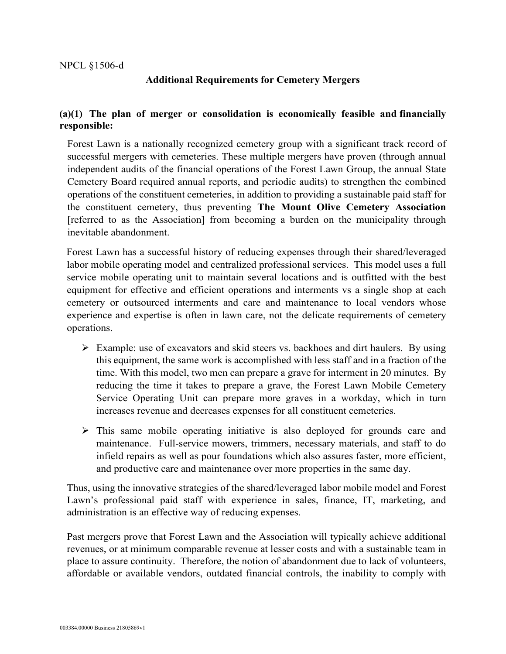#### NPCL §1506-d

#### **Additional Requirements for Cemetery Mergers**

#### **(a)(1) The plan of merger or consolidation is economically feasible and financially responsible:**

Forest Lawn is a nationally recognized cemetery group with a significant track record of successful mergers with cemeteries. These multiple mergers have proven (through annual independent audits of the financial operations of the Forest Lawn Group, the annual State Cemetery Board required annual reports, and periodic audits) to strengthen the combined operations of the constituent cemeteries, in addition to providing a sustainable paid staff for the constituent cemetery, thus preventing **The Mount Olive Cemetery Association** [referred to as the Association] from becoming a burden on the municipality through inevitable abandonment.

Forest Lawn has a successful history of reducing expenses through their shared/leveraged labor mobile operating model and centralized professional services. This model uses a full service mobile operating unit to maintain several locations and is outfitted with the best equipment for effective and efficient operations and interments vs a single shop at each cemetery or outsourced interments and care and maintenance to local vendors whose experience and expertise is often in lawn care, not the delicate requirements of cemetery operations.

- Example: use of excavators and skid steers vs. backhoes and dirt haulers. By using this equipment, the same work is accomplished with less staff and in a fraction of the time. With this model, two men can prepare a grave for interment in 20 minutes. By reducing the time it takes to prepare a grave, the Forest Lawn Mobile Cemetery Service Operating Unit can prepare more graves in a workday, which in turn increases revenue and decreases expenses for all constituent cemeteries.
- $\triangleright$  This same mobile operating initiative is also deployed for grounds care and maintenance. Full-service mowers, trimmers, necessary materials, and staff to do infield repairs as well as pour foundations which also assures faster, more efficient, and productive care and maintenance over more properties in the same day.

Thus, using the innovative strategies of the shared/leveraged labor mobile model and Forest Lawn's professional paid staff with experience in sales, finance, IT, marketing, and administration is an effective way of reducing expenses.

Past mergers prove that Forest Lawn and the Association will typically achieve additional revenues, or at minimum comparable revenue at lesser costs and with a sustainable team in place to assure continuity. Therefore, the notion of abandonment due to lack of volunteers, affordable or available vendors, outdated financial controls, the inability to comply with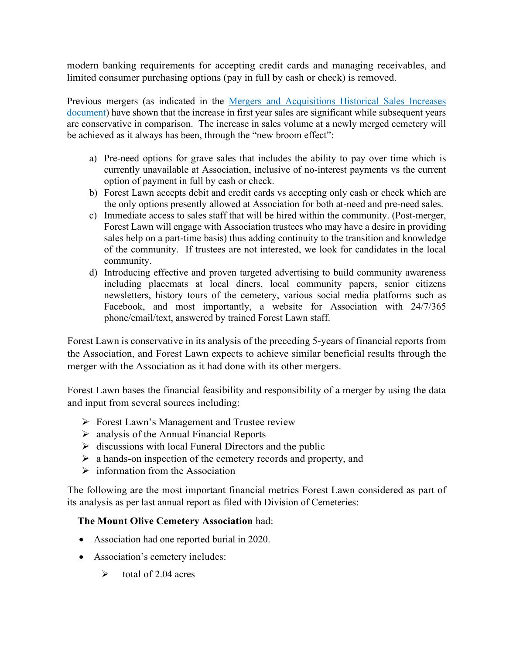modern banking requirements for accepting credit cards and managing receivables, and limited consumer purchasing options (pay in full by cash or check) is removed.

Previous mergers (as indicated in the [Mergers and Acquisitions Historical Sales Increases](https://files.constantcontact.com/8630989b001/7d69aa57-caef-4920-981e-51018b685aa8.pdf) document) have shown that the increase in first year sales are significant while subsequent years are conservative in comparison. The increase in sales volume at a newly merged cemetery will be achieved as it always has been, through the "new broom effect":

- a) Pre-need options for grave sales that includes the ability to pay over time which is currently unavailable at Association, inclusive of no-interest payments vs the current option of payment in full by cash or check.
- b) Forest Lawn accepts debit and credit cards vs accepting only cash or check which are the only options presently allowed at Association for both at-need and pre-need sales.
- c) Immediate access to sales staff that will be hired within the community. (Post-merger, Forest Lawn will engage with Association trustees who may have a desire in providing sales help on a part-time basis) thus adding continuity to the transition and knowledge of the community. If trustees are not interested, we look for candidates in the local community.
- d) Introducing effective and proven targeted advertising to build community awareness including placemats at local diners, local community papers, senior citizens newsletters, history tours of the cemetery, various social media platforms such as Facebook, and most importantly, a website for Association with 24/7/365 phone/email/text, answered by trained Forest Lawn staff.

Forest Lawn is conservative in its analysis of the preceding 5-years of financial reports from the Association, and Forest Lawn expects to achieve similar beneficial results through the merger with the Association as it had done with its other mergers.

Forest Lawn bases the financial feasibility and responsibility of a merger by using the data and input from several sources including:

- $\triangleright$  Forest Lawn's Management and Trustee review
- $\triangleright$  analysis of the Annual Financial Reports
- $\triangleright$  discussions with local Funeral Directors and the public
- $\triangleright$  a hands-on inspection of the cemetery records and property, and
- $\triangleright$  information from the Association

The following are the most important financial metrics Forest Lawn considered as part of its analysis as per last annual report as filed with Division of Cemeteries:

#### **The Mount Olive Cemetery Association** had:

- Association had one reported burial in 2020.
- Association's cemetery includes:
	- $\triangleright$  total of 2.04 acres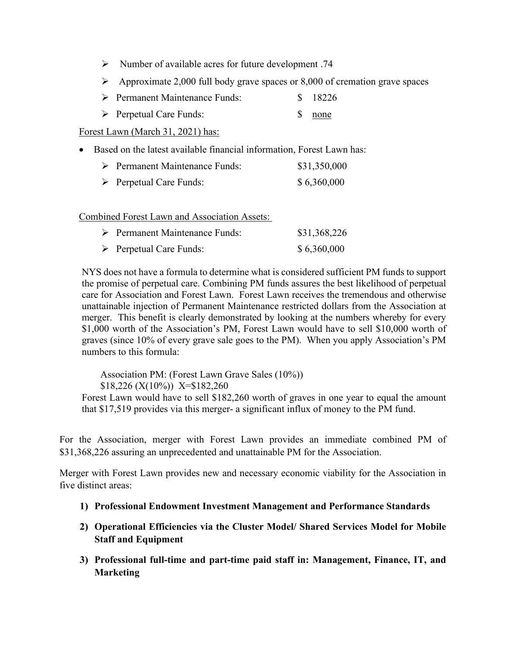- $\triangleright$  Number of available acres for future development .74
- $\triangleright$  Approximate 2,000 full body grave spaces or 8,000 of cremation grave spaces
- Permanent Maintenance Funds: \$ 18226
- Perpetual Care Funds: \$ none

Forest Lawn (March 31, 2021) has:

• Based on the latest available financial information, Forest Lawn has:

| $\triangleright$ Permanent Maintenance Funds: | \$31,350,000 |
|-----------------------------------------------|--------------|
| $\triangleright$ Perpetual Care Funds:        | \$6,360,000  |

Combined Forest Lawn and Association Assets:

| $\triangleright$ Permanent Maintenance Funds: | \$31,368,226 |
|-----------------------------------------------|--------------|
| $\triangleright$ Perpetual Care Funds:        | \$6,360,000  |

NYS does not have a formula to determine what is considered sufficient PM funds to support the promise of perpetual care. Combining PM funds assures the best likelihood of perpetual care for Association and Forest Lawn. Forest Lawn receives the tremendous and otherwise unattainable injection of Permanent Maintenance restricted dollars from the Association at merger. This benefit is clearly demonstrated by looking at the numbers whereby for every \$1,000 worth of the Association's PM, Forest Lawn would have to sell \$10,000 worth of graves (since 10% of every grave sale goes to the PM). When you apply Association's PM numbers to this formula:

Association PM: (Forest Lawn Grave Sales (10%))  $$18,226 (X(10\%)$  X= $$182,260$ Forest Lawn would have to sell \$182,260 worth of graves in one year to equal the amount that \$17,519 provides via this merger- a significant influx of money to the PM fund.

For the Association, merger with Forest Lawn provides an immediate combined PM of \$31,368,226 assuring an unprecedented and unattainable PM for the Association.

Merger with Forest Lawn provides new and necessary economic viability for the Association in five distinct areas:

- **1) Professional Endowment Investment Management and Performance Standards**
- **2) Operational Efficiencies via the Cluster Model/ Shared Services Model for Mobile Staff and Equipment**
- **3) Professional full-time and part-time paid staff in: Management, Finance, IT, and Marketing**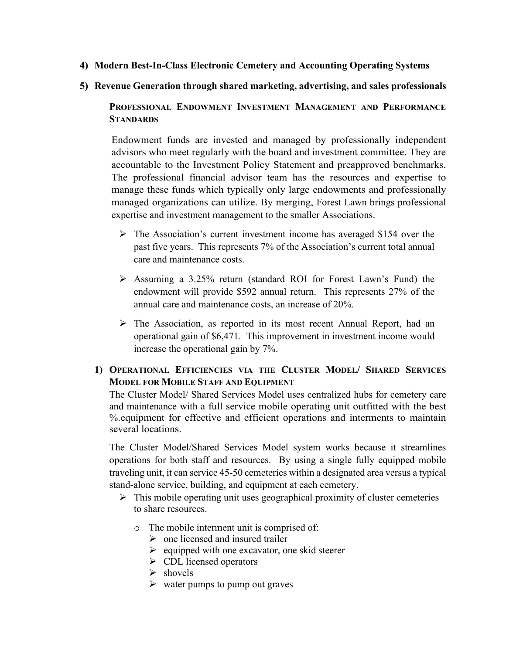- **4) Modern Best-In-Class Electronic Cemetery and Accounting Operating Systems**
- **5) Revenue Generation through shared marketing, advertising, and sales professionals**

**PROFESSIONAL ENDOWMENT INVESTMENT MANAGEMENT AND PERFORMANCE STANDARDS**

Endowment funds are invested and managed by professionally independent advisors who meet regularly with the board and investment committee. They are accountable to the Investment Policy Statement and preapproved benchmarks. The professional financial advisor team has the resources and expertise to manage these funds which typically only large endowments and professionally managed organizations can utilize. By merging, Forest Lawn brings professional expertise and investment management to the smaller Associations.

- $\triangleright$  The Association's current investment income has averaged \$154 over the past five years. This represents 7% of the Association's current total annual care and maintenance costs.
- Assuming a 3.25% return (standard ROI for Forest Lawn's Fund) the endowment will provide \$592 annual return. This represents 27% of the annual care and maintenance costs, an increase of 20%.
- $\triangleright$  The Association, as reported in its most recent Annual Report, had an operational gain of \$6,471. This improvement in investment income would increase the operational gain by 7%.

#### **1) OPERATIONAL EFFICIENCIES VIA THE CLUSTER MODEL/ SHARED SERVICES MODEL FOR MOBILE STAFF AND EQUIPMENT**

The Cluster Model/ Shared Services Model uses centralized hubs for cemetery care and maintenance with a full service mobile operating unit outfitted with the best %.equipment for effective and efficient operations and interments to maintain several locations.

The Cluster Model/Shared Services Model system works because it streamlines operations for both staff and resources. By using a single fully equipped mobile traveling unit, it can service 45-50 cemeteries within a designated area versus a typical stand-alone service, building, and equipment at each cemetery.

- $\triangleright$  This mobile operating unit uses geographical proximity of cluster cemeteries to share resources.
	- o The mobile interment unit is comprised of:
		- $\triangleright$  one licensed and insured trailer
		- $\triangleright$  equipped with one excavator, one skid steerer
		- $\triangleright$  CDL licensed operators
		- $\triangleright$  shovels
		- $\triangleright$  water pumps to pump out graves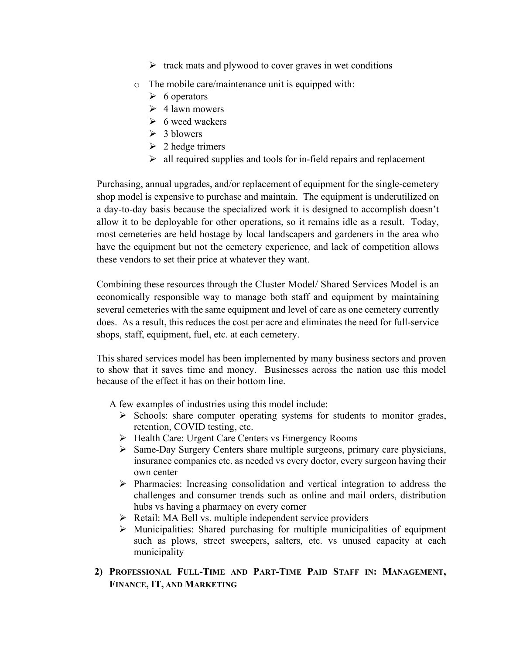- $\triangleright$  track mats and plywood to cover graves in wet conditions
- o The mobile care/maintenance unit is equipped with:
	- $\triangleright$  6 operators
	- $\geq 4$  lawn mowers
	- $\triangleright$  6 weed wackers
	- $\geq 3$  blowers
	- $\geq 2$  hedge trimers
	- $\triangleright$  all required supplies and tools for in-field repairs and replacement

Purchasing, annual upgrades, and/or replacement of equipment for the single-cemetery shop model is expensive to purchase and maintain. The equipment is underutilized on a day-to-day basis because the specialized work it is designed to accomplish doesn't allow it to be deployable for other operations, so it remains idle as a result. Today, most cemeteries are held hostage by local landscapers and gardeners in the area who have the equipment but not the cemetery experience, and lack of competition allows these vendors to set their price at whatever they want.

Combining these resources through the Cluster Model/ Shared Services Model is an economically responsible way to manage both staff and equipment by maintaining several cemeteries with the same equipment and level of care as one cemetery currently does. As a result, this reduces the cost per acre and eliminates the need for full-service shops, staff, equipment, fuel, etc. at each cemetery.

This shared services model has been implemented by many business sectors and proven to show that it saves time and money. Businesses across the nation use this model because of the effect it has on their bottom line.

A few examples of industries using this model include:

- $\triangleright$  Schools: share computer operating systems for students to monitor grades, retention, COVID testing, etc.
- ▶ Health Care: Urgent Care Centers vs Emergency Rooms
- $\triangleright$  Same-Day Surgery Centers share multiple surgeons, primary care physicians, insurance companies etc. as needed vs every doctor, every surgeon having their own center
- $\triangleright$  Pharmacies: Increasing consolidation and vertical integration to address the challenges and consumer trends such as online and mail orders, distribution hubs vs having a pharmacy on every corner
- Retail: MA Bell vs. multiple independent service providers
- $\triangleright$  Municipalities: Shared purchasing for multiple municipalities of equipment such as plows, street sweepers, salters, etc. vs unused capacity at each municipality
- **2) PROFESSIONAL FULL-TIME AND PART-TIME PAID STAFF IN: MANAGEMENT, FINANCE, IT, AND MARKETING**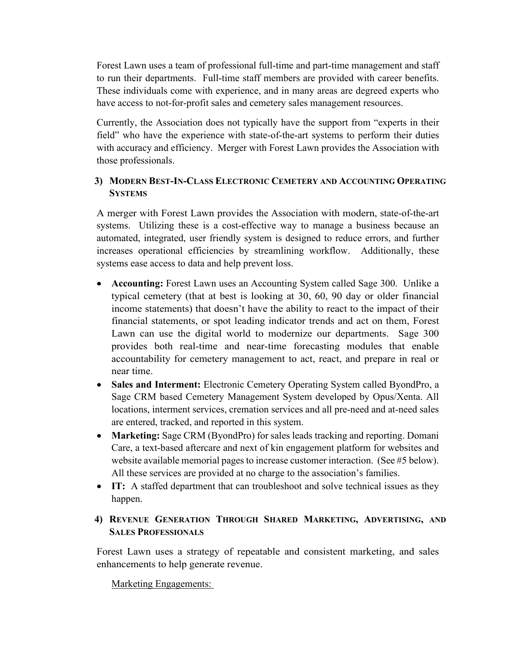Forest Lawn uses a team of professional full-time and part-time management and staff to run their departments. Full-time staff members are provided with career benefits. These individuals come with experience, and in many areas are degreed experts who have access to not-for-profit sales and cemetery sales management resources.

Currently, the Association does not typically have the support from "experts in their field" who have the experience with state-of-the-art systems to perform their duties with accuracy and efficiency. Merger with Forest Lawn provides the Association with those professionals.

#### **3) MODERN BEST-IN-CLASS ELECTRONIC CEMETERY AND ACCOUNTING OPERATING SYSTEMS**

A merger with Forest Lawn provides the Association with modern, state-of-the-art systems. Utilizing these is a cost-effective way to manage a business because an automated, integrated, user friendly system is designed to reduce errors, and further increases operational efficiencies by streamlining workflow. Additionally, these systems ease access to data and help prevent loss.

- **Accounting:** Forest Lawn uses an Accounting System called Sage 300. Unlike a typical cemetery (that at best is looking at 30, 60, 90 day or older financial income statements) that doesn't have the ability to react to the impact of their financial statements, or spot leading indicator trends and act on them, Forest Lawn can use the digital world to modernize our departments. Sage 300 provides both real-time and near-time forecasting modules that enable accountability for cemetery management to act, react, and prepare in real or near time.
- **Sales and Interment:** Electronic Cemetery Operating System called ByondPro, a Sage CRM based Cemetery Management System developed by Opus/Xenta. All locations, interment services, cremation services and all pre-need and at-need sales are entered, tracked, and reported in this system.
- **Marketing:** Sage CRM (ByondPro) for sales leads tracking and reporting. Domani Care, a text-based aftercare and next of kin engagement platform for websites and website available memorial pages to increase customer interaction. (See #5 below). All these services are provided at no charge to the association's families.
- **IT:** A staffed department that can troubleshoot and solve technical issues as they happen.

#### **4) REVENUE GENERATION THROUGH SHARED MARKETING, ADVERTISING, AND SALES PROFESSIONALS**

Forest Lawn uses a strategy of repeatable and consistent marketing, and sales enhancements to help generate revenue.

Marketing Engagements: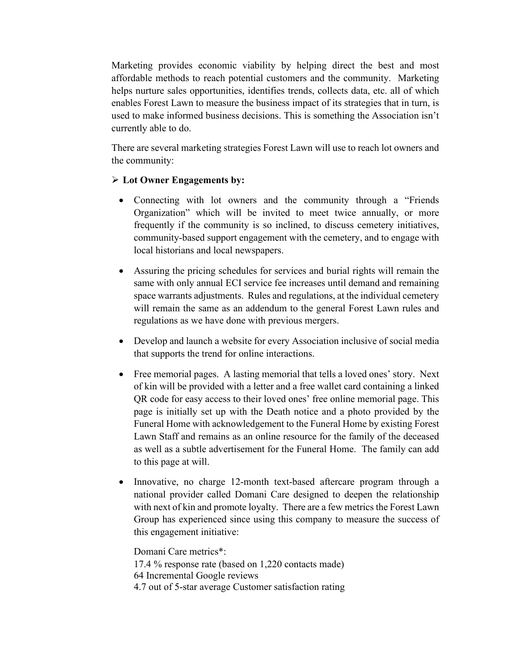Marketing provides economic viability by helping direct the best and most affordable methods to reach potential customers and the community. Marketing helps nurture sales opportunities, identifies trends, collects data, etc. all of which enables Forest Lawn to measure the business impact of its strategies that in turn, is used to make informed business decisions. This is something the Association isn't currently able to do.

There are several marketing strategies Forest Lawn will use to reach lot owners and the community:

#### **Lot Owner Engagements by:**

- Connecting with lot owners and the community through a "Friends Organization" which will be invited to meet twice annually, or more frequently if the community is so inclined, to discuss cemetery initiatives, community-based support engagement with the cemetery, and to engage with local historians and local newspapers.
- Assuring the pricing schedules for services and burial rights will remain the same with only annual ECI service fee increases until demand and remaining space warrants adjustments. Rules and regulations, at the individual cemetery will remain the same as an addendum to the general Forest Lawn rules and regulations as we have done with previous mergers.
- Develop and launch a website for every Association inclusive of social media that supports the trend for online interactions.
- Free memorial pages. A lasting memorial that tells a loved ones' story. Next of kin will be provided with a letter and a free wallet card containing a linked QR code for easy access to their loved ones' free online memorial page. This page is initially set up with the Death notice and a photo provided by the Funeral Home with acknowledgement to the Funeral Home by existing Forest Lawn Staff and remains as an online resource for the family of the deceased as well as a subtle advertisement for the Funeral Home. The family can add to this page at will.
- Innovative, no charge 12-month text-based aftercare program through a national provider called Domani Care designed to deepen the relationship with next of kin and promote loyalty. There are a few metrics the Forest Lawn Group has experienced since using this company to measure the success of this engagement initiative:

Domani Care metrics\*: 17.4 % response rate (based on 1,220 contacts made) 64 Incremental Google reviews 4.7 out of 5-star average Customer satisfaction rating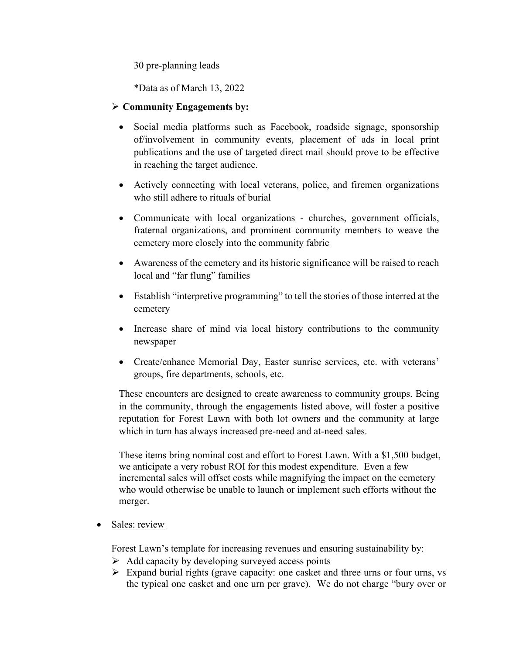30 pre-planning leads

\*Data as of March 13, 2022

#### **Community Engagements by:**

- Social media platforms such as Facebook, roadside signage, sponsorship of/involvement in community events, placement of ads in local print publications and the use of targeted direct mail should prove to be effective in reaching the target audience.
- Actively connecting with local veterans, police, and firemen organizations who still adhere to rituals of burial
- Communicate with local organizations churches, government officials, fraternal organizations, and prominent community members to weave the cemetery more closely into the community fabric
- Awareness of the cemetery and its historic significance will be raised to reach local and "far flung" families
- Establish "interpretive programming" to tell the stories of those interred at the cemetery
- Increase share of mind via local history contributions to the community newspaper
- Create/enhance Memorial Day, Easter sunrise services, etc. with veterans' groups, fire departments, schools, etc.

These encounters are designed to create awareness to community groups. Being in the community, through the engagements listed above, will foster a positive reputation for Forest Lawn with both lot owners and the community at large which in turn has always increased pre-need and at-need sales.

These items bring nominal cost and effort to Forest Lawn. With a \$1,500 budget, we anticipate a very robust ROI for this modest expenditure. Even a few incremental sales will offset costs while magnifying the impact on the cemetery who would otherwise be unable to launch or implement such efforts without the merger.

Sales: review

Forest Lawn's template for increasing revenues and ensuring sustainability by:

- $\triangleright$  Add capacity by developing surveyed access points
- $\triangleright$  Expand burial rights (grave capacity: one casket and three urns or four urns, vs the typical one casket and one urn per grave). We do not charge "bury over or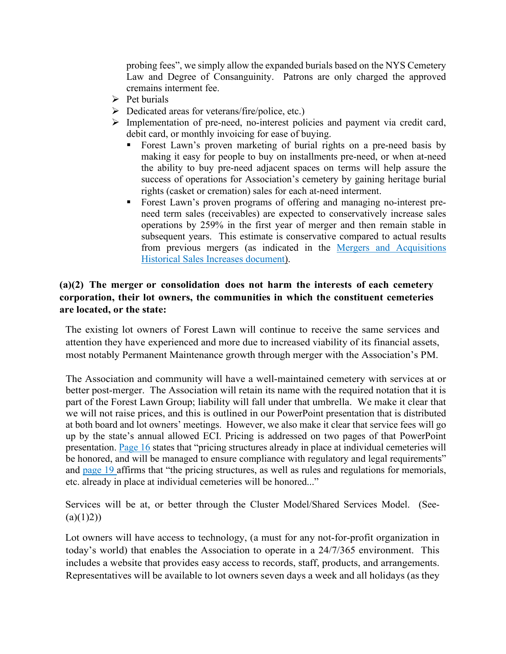probing fees", we simply allow the expanded burials based on the NYS Cemetery Law and Degree of Consanguinity. Patrons are only charged the approved cremains interment fee.

- $\triangleright$  Pet burials
- $\triangleright$  Dedicated areas for veterans/fire/police, etc.)
- Implementation of pre-need, no-interest policies and payment via credit card, debit card, or monthly invoicing for ease of buying.
	- Forest Lawn's proven marketing of burial rights on a pre-need basis by making it easy for people to buy on installments pre-need, or when at-need the ability to buy pre-need adjacent spaces on terms will help assure the success of operations for Association's cemetery by gaining heritage burial rights (casket or cremation) sales for each at-need interment.
	- Forest Lawn's proven programs of offering and managing no-interest preneed term sales (receivables) are expected to conservatively increase sales operations by 259% in the first year of merger and then remain stable in subsequent years. This estimate is conservative compared to actual results from previous mergers (as indicated in the [Mergers and Acquisitions](https://files.constantcontact.com/8630989b001/7d69aa57-caef-4920-981e-51018b685aa8.pdf)  [Historical Sales Increases](https://files.constantcontact.com/8630989b001/7d69aa57-caef-4920-981e-51018b685aa8.pdf) document).

#### **(a)(2) The merger or consolidation does not harm the interests of each cemetery corporation, their lot owners, the communities in which the constituent cemeteries are located, or the state:**

The existing lot owners of Forest Lawn will continue to receive the same services and attention they have experienced and more due to increased viability of its financial assets, most notably Permanent Maintenance growth through merger with the Association's PM.

The Association and community will have a well-maintained cemetery with services at or better post-merger. The Association will retain its name with the required notation that it is part of the Forest Lawn Group; liability will fall under that umbrella. We make it clear that we will not raise prices, and this is outlined in our PowerPoint presentation that is distributed at both board and lot owners' meetings. However, we also make it clear that service fees will go up by the state's annual allowed ECI. Pricing is addressed on two pages of that PowerPoint presentation. [Page 16](https://files.constantcontact.com/8630989b001/108adcdb-3ed1-41f4-ab9f-b1b1a8b320e5.pdf) states that "pricing structures already in place at individual cemeteries will be honored, and will be managed to ensure compliance with regulatory and legal requirements" and [page 19](https://files.constantcontact.com/8630989b001/02e13c65-afd5-4498-a2e7-69249a61e301.pdf) affirms that "the pricing structures, as well as rules and regulations for memorials, etc. already in place at individual cemeteries will be honored..."

Services will be at, or better through the Cluster Model/Shared Services Model. (See-  $(a)(1)2)$ 

Lot owners will have access to technology, (a must for any not-for-profit organization in today's world) that enables the Association to operate in a 24/7/365 environment. This includes a website that provides easy access to records, staff, products, and arrangements. Representatives will be available to lot owners seven days a week and all holidays (as they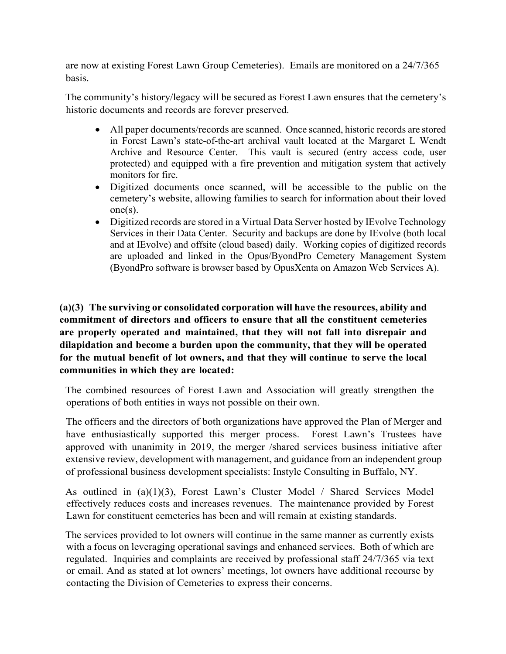are now at existing Forest Lawn Group Cemeteries). Emails are monitored on a 24/7/365 basis.

The community's history/legacy will be secured as Forest Lawn ensures that the cemetery's historic documents and records are forever preserved.

- All paper documents/records are scanned. Once scanned, historic records are stored in Forest Lawn's state-of-the-art archival vault located at the Margaret L Wendt Archive and Resource Center. This vault is secured (entry access code, user protected) and equipped with a fire prevention and mitigation system that actively monitors for fire.
- Digitized documents once scanned, will be accessible to the public on the cemetery's website, allowing families to search for information about their loved one(s).
- Digitized records are stored in a Virtual Data Server hosted by IEvolve Technology Services in their Data Center. Security and backups are done by IEvolve (both local and at IEvolve) and offsite (cloud based) daily. Working copies of digitized records are uploaded and linked in the Opus/ByondPro Cemetery Management System (ByondPro software is browser based by OpusXenta on Amazon Web Services A).

**(a)(3) The surviving or consolidated corporation will have the resources, ability and commitment of directors and officers to ensure that all the constituent cemeteries are properly operated and maintained, that they will not fall into disrepair and dilapidation and become a burden upon the community, that they will be operated for the mutual benefit of lot owners, and that they will continue to serve the local communities in which they are located:**

The combined resources of Forest Lawn and Association will greatly strengthen the operations of both entities in ways not possible on their own.

The officers and the directors of both organizations have approved the Plan of Merger and have enthusiastically supported this merger process. Forest Lawn's Trustees have approved with unanimity in 2019, the merger /shared services business initiative after extensive review, development with management, and guidance from an independent group of professional business development specialists: Instyle Consulting in Buffalo, NY.

As outlined in (a)(1)(3), Forest Lawn's Cluster Model / Shared Services Model effectively reduces costs and increases revenues. The maintenance provided by Forest Lawn for constituent cemeteries has been and will remain at existing standards.

The services provided to lot owners will continue in the same manner as currently exists with a focus on leveraging operational savings and enhanced services. Both of which are regulated. Inquiries and complaints are received by professional staff 24/7/365 via text or email. And as stated at lot owners' meetings, lot owners have additional recourse by contacting the Division of Cemeteries to express their concerns.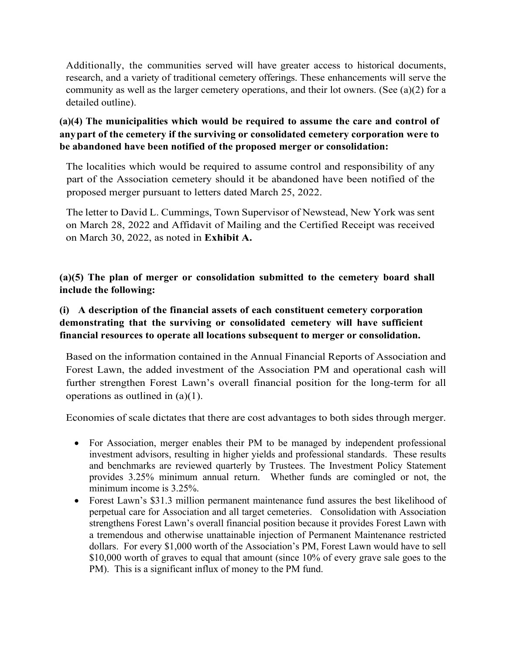Additionally, the communities served will have greater access to historical documents, research, and a variety of traditional cemetery offerings. These enhancements will serve the community as well as the larger cemetery operations, and their lot owners. (See (a)(2) for a detailed outline).

**(a)(4) The municipalities which would be required to assume the care and control of anypart of the cemetery if the surviving or consolidated cemetery corporation were to be abandoned have been notified of the proposed merger or consolidation:**

The localities which would be required to assume control and responsibility of any part of the Association cemetery should it be abandoned have been notified of the proposed merger pursuant to letters dated March 25, 2022.

The letter to David L. Cummings, Town Supervisor of Newstead, New York was sent on March 28, 2022 and Affidavit of Mailing and the Certified Receipt was received on March 30, 2022, as noted in **Exhibit A.**

**(a)(5) The plan of merger or consolidation submitted to the cemetery board shall include the following:**

#### **(i) A description of the financial assets of each constituent cemetery corporation demonstrating that the surviving or consolidated cemetery will have sufficient financial resources to operate all locations subsequent to merger or consolidation.**

Based on the information contained in the Annual Financial Reports of Association and Forest Lawn, the added investment of the Association PM and operational cash will further strengthen Forest Lawn's overall financial position for the long-term for all operations as outlined in (a)(1).

Economies of scale dictates that there are cost advantages to both sides through merger.

- For Association, merger enables their PM to be managed by independent professional investment advisors, resulting in higher yields and professional standards. These results and benchmarks are reviewed quarterly by Trustees. The Investment Policy Statement provides 3.25% minimum annual return. Whether funds are comingled or not, the minimum income is 3.25%.
- Forest Lawn's \$31.3 million permanent maintenance fund assures the best likelihood of perpetual care for Association and all target cemeteries. Consolidation with Association strengthens Forest Lawn's overall financial position because it provides Forest Lawn with a tremendous and otherwise unattainable injection of Permanent Maintenance restricted dollars. For every \$1,000 worth of the Association's PM, Forest Lawn would have to sell \$10,000 worth of graves to equal that amount (since 10% of every grave sale goes to the PM). This is a significant influx of money to the PM fund.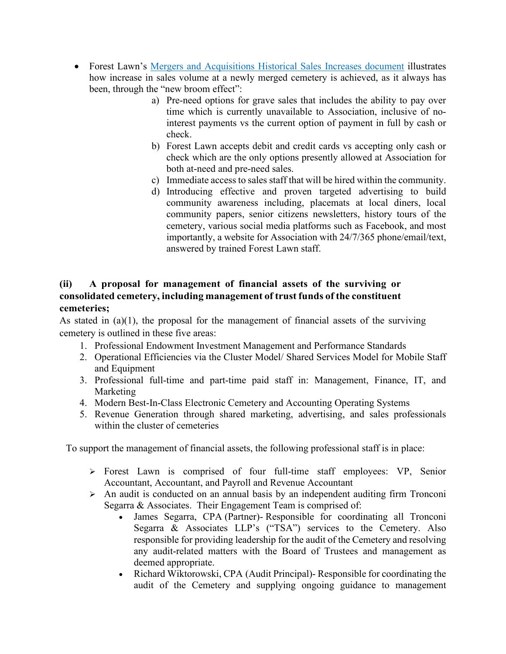- Forest Lawn's [Mergers and Acquisitions Historical Sales Increases](https://files.constantcontact.com/8630989b001/7d69aa57-caef-4920-981e-51018b685aa8.pdf) document illustrates how increase in sales volume at a newly merged cemetery is achieved, as it always has been, through the "new broom effect":
	- a) Pre-need options for grave sales that includes the ability to pay over time which is currently unavailable to Association, inclusive of nointerest payments vs the current option of payment in full by cash or check.
	- b) Forest Lawn accepts debit and credit cards vs accepting only cash or check which are the only options presently allowed at Association for both at-need and pre-need sales.
	- c) Immediate access to sales staff that will be hired within the community.
	- d) Introducing effective and proven targeted advertising to build community awareness including, placemats at local diners, local community papers, senior citizens newsletters, history tours of the cemetery, various social media platforms such as Facebook, and most importantly, a website for Association with 24/7/365 phone/email/text, answered by trained Forest Lawn staff.

#### **(ii) A proposal for management of financial assets of the surviving or consolidated cemetery, including management of trust funds of the constituent cemeteries;**

As stated in  $(a)(1)$ , the proposal for the management of financial assets of the surviving cemetery is outlined in these five areas:

- 1. Professional Endowment Investment Management and Performance Standards
- 2. Operational Efficiencies via the Cluster Model/ Shared Services Model for Mobile Staff and Equipment
- 3. Professional full-time and part-time paid staff in: Management, Finance, IT, and Marketing
- 4. Modern Best-In-Class Electronic Cemetery and Accounting Operating Systems
- 5. Revenue Generation through shared marketing, advertising, and sales professionals within the cluster of cemeteries

To support the management of financial assets, the following professional staff is in place:

- Forest Lawn is comprised of four full-time staff employees: VP, Senior Accountant, Accountant, and Payroll and Revenue Accountant
- $\triangleright$  An audit is conducted on an annual basis by an independent auditing firm Tronconi Segarra & Associates. Their Engagement Team is comprised of:
	- James Segarra, CPA (Partner)- Responsible for coordinating all Tronconi Segarra & Associates LLP's ("TSA") services to the Cemetery. Also responsible for providing leadership for the audit of the Cemetery and resolving any audit-related matters with the Board of Trustees and management as deemed appropriate.
	- Richard Wiktorowski, CPA (Audit Principal)- Responsible for coordinating the audit of the Cemetery and supplying ongoing guidance to management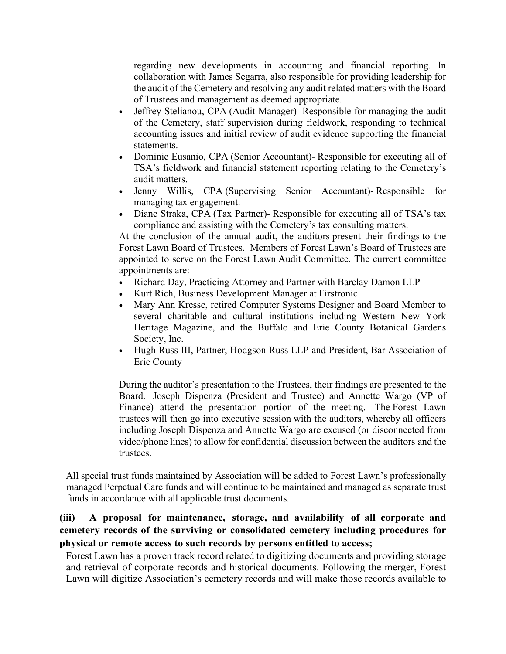regarding new developments in accounting and financial reporting. In collaboration with James Segarra, also responsible for providing leadership for the audit of the Cemetery and resolving any audit related matters with the Board of Trustees and management as deemed appropriate.

- Jeffrey Stelianou, CPA (Audit Manager)- Responsible for managing the audit of the Cemetery, staff supervision during fieldwork, responding to technical accounting issues and initial review of audit evidence supporting the financial statements.
- Dominic Eusanio, CPA (Senior Accountant)- Responsible for executing all of TSA's fieldwork and financial statement reporting relating to the Cemetery's audit matters.
- Jenny Willis, CPA (Supervising Senior Accountant)- Responsible for managing tax engagement.
- Diane Straka, CPA (Tax Partner)- Responsible for executing all of TSA's tax compliance and assisting with the Cemetery's tax consulting matters.

At the conclusion of the annual audit, the auditors present their findings to the Forest Lawn Board of Trustees. Members of Forest Lawn's Board of Trustees are appointed to serve on the Forest Lawn Audit Committee. The current committee appointments are:

- Richard Day, Practicing Attorney and Partner with Barclay Damon LLP
- Kurt Rich, Business Development Manager at Firstronic
- Mary Ann Kresse, retired Computer Systems Designer and Board Member to several charitable and cultural institutions including Western New York Heritage Magazine, and the Buffalo and Erie County Botanical Gardens Society, Inc.
- Hugh Russ III, Partner, Hodgson Russ LLP and President, Bar Association of Erie County

During the auditor's presentation to the Trustees, their findings are presented to the Board. Joseph Dispenza (President and Trustee) and Annette Wargo (VP of Finance) attend the presentation portion of the meeting. The Forest Lawn trustees will then go into executive session with the auditors, whereby all officers including Joseph Dispenza and Annette Wargo are excused (or disconnected from video/phone lines) to allow for confidential discussion between the auditors and the trustees.

All special trust funds maintained by Association will be added to Forest Lawn's professionally managed Perpetual Care funds and will continue to be maintained and managed as separate trust funds in accordance with all applicable trust documents.

#### **(iii) A proposal for maintenance, storage, and availability of all corporate and cemetery records of the surviving or consolidated cemetery including procedures for physical or remote access to such records by persons entitled to access;**

Forest Lawn has a proven track record related to digitizing documents and providing storage and retrieval of corporate records and historical documents. Following the merger, Forest Lawn will digitize Association's cemetery records and will make those records available to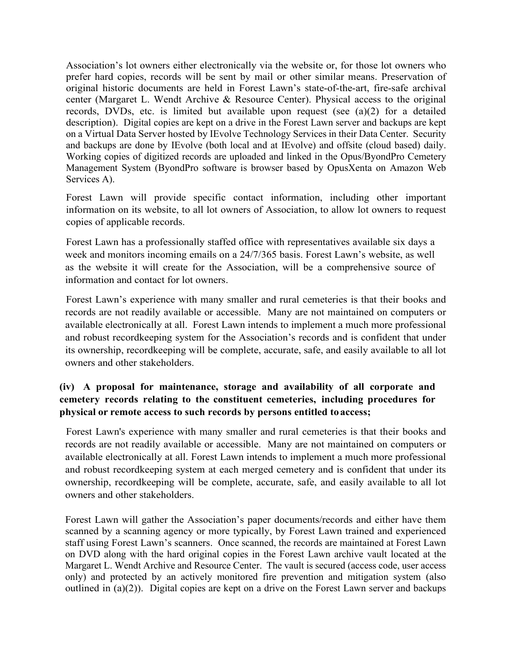Association's lot owners either electronically via the website or, for those lot owners who prefer hard copies, records will be sent by mail or other similar means. Preservation of original historic documents are held in Forest Lawn's state-of-the-art, fire-safe archival center (Margaret L. Wendt Archive & Resource Center). Physical access to the original records, DVDs, etc. is limited but available upon request (see (a)(2) for a detailed description). Digital copies are kept on a drive in the Forest Lawn server and backups are kept on a Virtual Data Server hosted by IEvolve Technology Services in their Data Center. Security and backups are done by IEvolve (both local and at IEvolve) and offsite (cloud based) daily. Working copies of digitized records are uploaded and linked in the Opus/ByondPro Cemetery Management System (ByondPro software is browser based by OpusXenta on Amazon Web Services A).

Forest Lawn will provide specific contact information, including other important information on its website, to all lot owners of Association, to allow lot owners to request copies of applicable records.

Forest Lawn has a professionally staffed office with representatives available six days a week and monitors incoming emails on a 24/7/365 basis. Forest Lawn's website, as well as the website it will create for the Association, will be a comprehensive source of information and contact for lot owners.

Forest Lawn's experience with many smaller and rural cemeteries is that their books and records are not readily available or accessible. Many are not maintained on computers or available electronically at all. Forest Lawn intends to implement a much more professional and robust recordkeeping system for the Association's records and is confident that under its ownership, recordkeeping will be complete, accurate, safe, and easily available to all lot owners and other stakeholders.

#### **(iv) A proposal for maintenance, storage and availability of all corporate and cemetery records relating to the constituent cemeteries, including procedures for physical or remote access to such records by persons entitled toaccess;**

Forest Lawn's experience with many smaller and rural cemeteries is that their books and records are not readily available or accessible. Many are not maintained on computers or available electronically at all. Forest Lawn intends to implement a much more professional and robust recordkeeping system at each merged cemetery and is confident that under its ownership, recordkeeping will be complete, accurate, safe, and easily available to all lot owners and other stakeholders.

Forest Lawn will gather the Association's paper documents/records and either have them scanned by a scanning agency or more typically, by Forest Lawn trained and experienced staff using Forest Lawn's scanners. Once scanned, the records are maintained at Forest Lawn on DVD along with the hard original copies in the Forest Lawn archive vault located at the Margaret L. Wendt Archive and Resource Center. The vault is secured (access code, user access only) and protected by an actively monitored fire prevention and mitigation system (also outlined in (a)(2)). Digital copies are kept on a drive on the Forest Lawn server and backups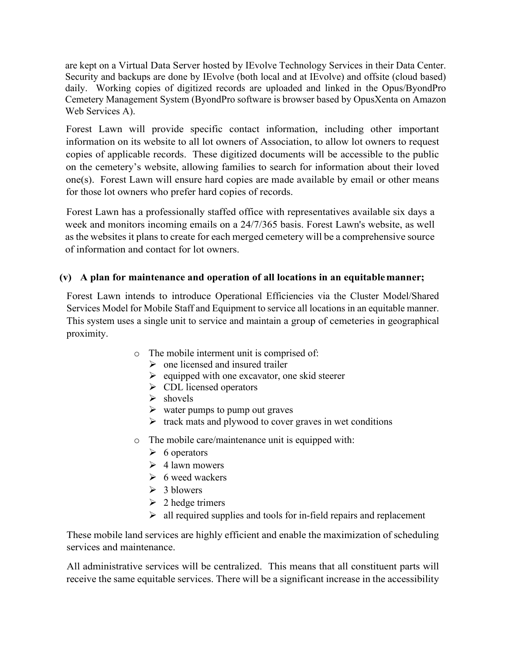are kept on a Virtual Data Server hosted by IEvolve Technology Services in their Data Center. Security and backups are done by IEvolve (both local and at IEvolve) and offsite (cloud based) daily. Working copies of digitized records are uploaded and linked in the Opus/ByondPro Cemetery Management System (ByondPro software is browser based by OpusXenta on Amazon Web Services A).

Forest Lawn will provide specific contact information, including other important information on its website to all lot owners of Association, to allow lot owners to request copies of applicable records. These digitized documents will be accessible to the public on the cemetery's website, allowing families to search for information about their loved one(s). Forest Lawn will ensure hard copies are made available by email or other means for those lot owners who prefer hard copies of records.

Forest Lawn has a professionally staffed office with representatives available six days a week and monitors incoming emails on a 24/7/365 basis. Forest Lawn's website, as well as the websites it plans to create for each merged cemetery will be a comprehensive source of information and contact for lot owners.

#### **(v) A plan for maintenance and operation of all locations in an equitablemanner;**

Forest Lawn intends to introduce Operational Efficiencies via the Cluster Model/Shared Services Model for Mobile Staff and Equipment to service all locations in an equitable manner. This system uses a single unit to service and maintain a group of cemeteries in geographical proximity.

- o The mobile interment unit is comprised of:
	- $\triangleright$  one licensed and insured trailer
	- $\triangleright$  equipped with one excavator, one skid steerer
	- $\triangleright$  CDL licensed operators
	- $\triangleright$  shovels
	- $\triangleright$  water pumps to pump out graves
	- $\triangleright$  track mats and plywood to cover graves in wet conditions
- o The mobile care/maintenance unit is equipped with:
	- $\triangleright$  6 operators
	- $\geq 4$  lawn mowers
	- $\triangleright$  6 weed wackers
	- $\geq 3$  blowers
	- $\geq 2$  hedge trimers
	- $\triangleright$  all required supplies and tools for in-field repairs and replacement

These mobile land services are highly efficient and enable the maximization of scheduling services and maintenance.

All administrative services will be centralized. This means that all constituent parts will receive the same equitable services. There will be a significant increase in the accessibility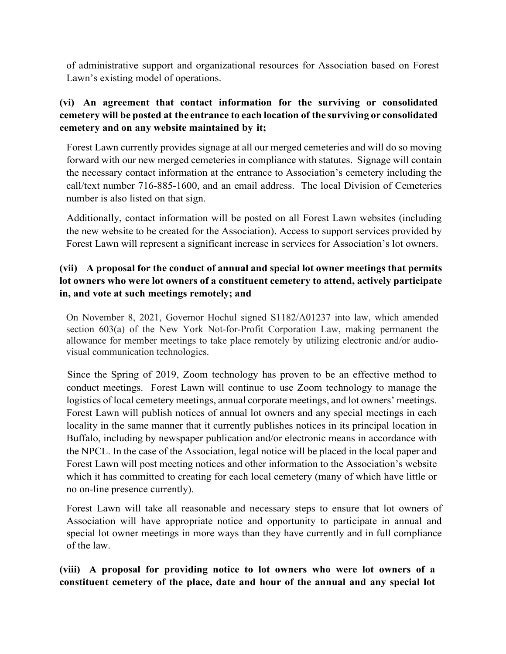of administrative support and organizational resources for Association based on Forest Lawn's existing model of operations.

#### **(vi) An agreement that contact information for the surviving or consolidated cemetery will be posted at the entrance to each location of the surviving or consolidated cemetery and on any website maintained by it;**

Forest Lawn currently provides signage at all our merged cemeteries and will do so moving forward with our new merged cemeteries in compliance with statutes. Signage will contain the necessary contact information at the entrance to Association's cemetery including the call/text number 716-885-1600, and an email address. The local Division of Cemeteries number is also listed on that sign.

Additionally, contact information will be posted on all Forest Lawn websites (including the new website to be created for the Association). Access to support services provided by Forest Lawn will represent a significant increase in services for Association's lot owners.

#### **(vii) A proposal for the conduct of annual and special lot owner meetings that permits lot owners who were lot owners of a constituent cemetery to attend, actively participate in, and vote at such meetings remotely; and**

On November 8, 2021, Governor Hochul signed S1182/A01237 into law, which amended section 603(a) of the New York Not-for-Profit Corporation Law, making permanent the allowance for member meetings to take place remotely by utilizing electronic and/or audiovisual communication technologies.

Since the Spring of 2019, Zoom technology has proven to be an effective method to conduct meetings. Forest Lawn will continue to use Zoom technology to manage the logistics of local cemetery meetings, annual corporate meetings, and lot owners' meetings. Forest Lawn will publish notices of annual lot owners and any special meetings in each locality in the same manner that it currently publishes notices in its principal location in Buffalo, including by newspaper publication and/or electronic means in accordance with the NPCL. In the case of the Association, legal notice will be placed in the local paper and Forest Lawn will post meeting notices and other information to the Association's website which it has committed to creating for each local cemetery (many of which have little or no on-line presence currently).

Forest Lawn will take all reasonable and necessary steps to ensure that lot owners of Association will have appropriate notice and opportunity to participate in annual and special lot owner meetings in more ways than they have currently and in full compliance of the law.

**(viii) A proposal for providing notice to lot owners who were lot owners of a constituent cemetery of the place, date and hour of the annual and any special lot**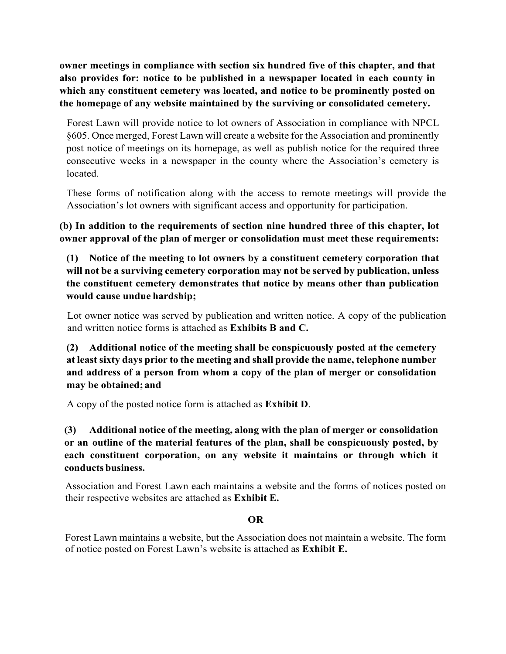**owner meetings in compliance with section six hundred five of this chapter, and that also provides for: notice to be published in a newspaper located in each county in which any constituent cemetery was located, and notice to be prominently posted on the homepage of any website maintained by the surviving or consolidated cemetery.**

Forest Lawn will provide notice to lot owners of Association in compliance with NPCL §605. Once merged, Forest Lawn will create a website for the Association and prominently post notice of meetings on its homepage, as well as publish notice for the required three consecutive weeks in a newspaper in the county where the Association's cemetery is located.

These forms of notification along with the access to remote meetings will provide the Association's lot owners with significant access and opportunity for participation.

**(b) In addition to the requirements of section nine hundred three of this chapter, lot owner approval of the plan of merger or consolidation must meet these requirements:**

**(1) Notice of the meeting to lot owners by a constituent cemetery corporation that will not be a surviving cemetery corporation may not be served by publication, unless the constituent cemetery demonstrates that notice by means other than publication would cause undue hardship;**

Lot owner notice was served by publication and written notice. A copy of the publication and written notice forms is attached as **Exhibits B and C.**

**(2) Additional notice of the meeting shall be conspicuously posted at the cemetery at least sixty days prior to the meeting and shall provide the name, telephone number and address of a person from whom a copy of the plan of merger or consolidation may be obtained; and**

A copy of the posted notice form is attached as **Exhibit D**.

**(3) Additional notice of the meeting, along with the plan of merger or consolidation or an outline of the material features of the plan, shall be conspicuously posted, by each constituent corporation, on any website it maintains or through which it conducts business.** 

Association and Forest Lawn each maintains a website and the forms of notices posted on their respective websites are attached as **Exhibit E.**

#### **OR**

Forest Lawn maintains a website, but the Association does not maintain a website. The form of notice posted on Forest Lawn's website is attached as **Exhibit E.**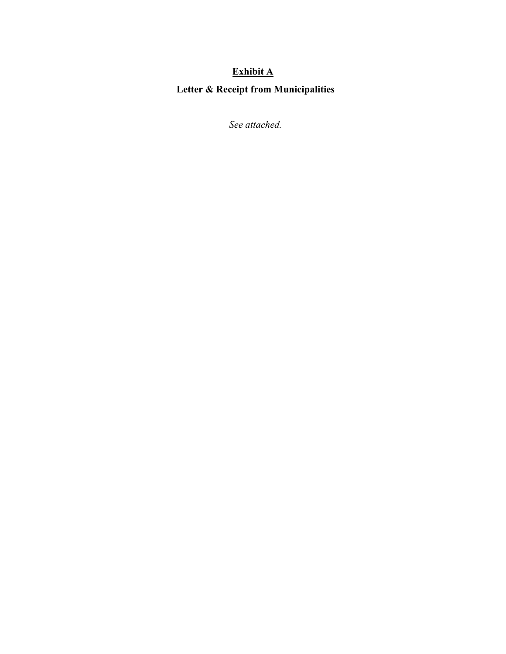#### **Exhibit A Letter & Receipt from Municipalities**

*See attached.*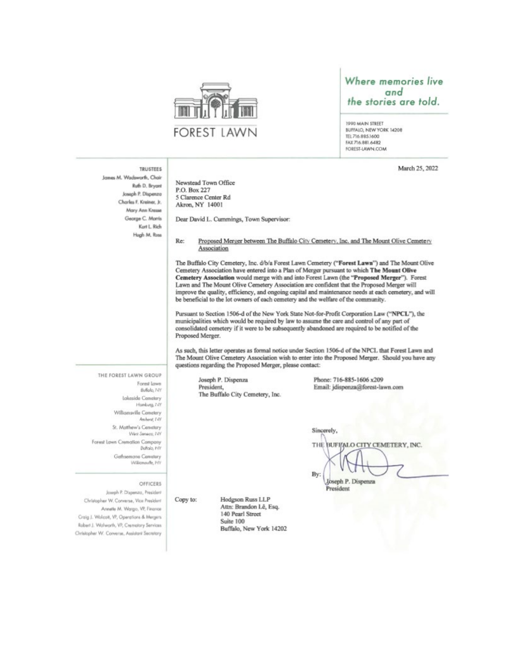

#### Where memories live and the stories are told.

1000 MAIN STREET BUFFALO, NEW YORK 14208 TEL 716 885 1600 FAX 716.881.6482 FOREST-LAWIN.COM

March 25, 2022

#### **TRUSTEES**

Janes M. Wadsworth, Chair Ruth D. Bryant Joseph P. Dispenza Charles F. Kreiner, Jr. Mary Ann Kresse George C. Morris Kert L. Rich Hugh M. Ross

Newstead Town Office P.O. Box 227 5 Clarence Center Rd Akron, NY 14001

Dear David L. Cummings, Town Supervisor:

Re: Proposed Merger between The Buffalo City Cemetery, Inc. and The Mount Olive Cemetery Association

The Buffalo City Cemetery, Inc. d/b/a Forest Lawn Cemetery ("Forest Lawn") and The Mount Olive Cemetery Association have entered into a Plan of Merger pursuant to which The Mount Olive Cemetery Association would merge with and into Forest Lawn (the "Proposed Merger"). Forest Lawn and The Mount Olive Cemetery Association are confident that the Proposed Merger will improve the quality, efficiency, and ongoing capital and maintenance needs at each cemetery, and will be beneficial to the lot owners of each cemetery and the welfare of the community.

Pursuant to Section 1506-d of the New York State Not-for-Profit Corporation Law ("NPCL"), the municipalities which would be required by law to assume the care and control of any part of consolidated cemetery if it were to be subsequently abandoned are required to be notified of the Proposed Merger.

As such, this letter operates as formal notice under Section 1506-d of the NPCL that Forest Lawn and The Mount Olive Cemetery Association wish to enter into the Proposed Merger. Should you have any questions regarding the Proposed Merger, please contact:

Joseph P. Dispenza President, The Buffalo City Cemetery, Inc. Phone: 716-885-1606 x209 Email: jdispenza@forest-lawn.com

Bullalo, 14Y **Lakeside Cemetery** Hamburg, 7-79 Williamsville Cemetery Amherst, 149 St. Matthew's Cemetery West Seneco, 14Y Forest Lawn Cremation Company Bullalo, NY Gethsemane Cemetery Williamsville, NY

Forest Lown

THE FOREST LAWN GROUP

#### OFFICERS

Joseph P. Dispenzo, President Christopher W. Converse, Vice President Annette M. Wargo, VP, Finance Craig J. Wolcott, VP, Operations & Mergers Robert J. Walworth, VP, Crematury Services Christopher W. Converse, Assistant Secretary

Copy to:

Hodgson Russ LLP Attn: Brandon Lê, Esq. 140 Pearl Street Suite 100 Buffalo, New York 14202 Sincerely, THE. BUFI/ALO CITY CEMETERY, INC. By:

Joseph P. Dispenza President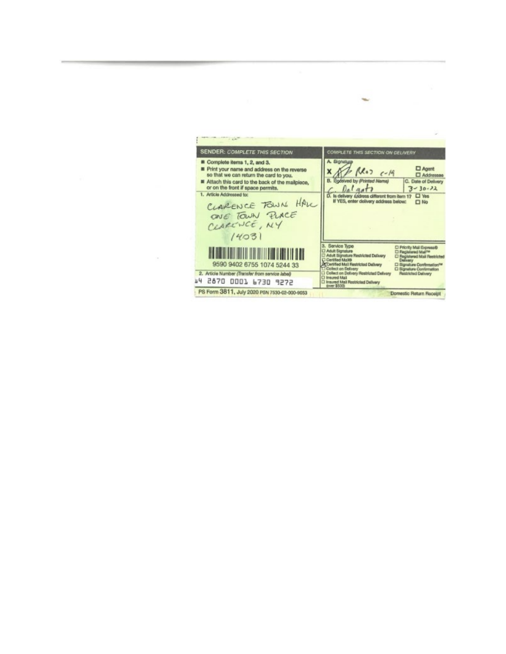COMPLETE THIS SECTION ON DELIVERY **SENDER: COMPLETE THIS SECTION** Complete items 1, 2, and 3. A. Signatur □ Agent<br>□ Addressee Print your name and address on the reverse<br>so that we can return the card to you.  $f(x_0)$   $c-19$  $\boldsymbol{x}$ B. Received by Printed Nama)<br>
C. Date of D.<br>
C. is delivery didress different from Bern 17  $\Box$  Yes<br>
If YES, enter delivery address below:<br>  $\Box$  No Attach this card to the back of the mallplece,<br>or on the front if space permits. C. Date of Delivery  $3 - 30 - 22$ 1. Article Addressed to: CLARENCE FOUN HAVE ONE TOWN PLACE CLARENCE, NY  $14031$ 3. Service Type<br>
CI Adult Signsture<br>
CI Adult Signsture<br>
C Adult Signsture<br>
C Certified Mall Restricted Dailway<br>
A Certified Mall Restricted Dailway  $\begin{array}{l} \square \ \text{Priority Mat}\ \text{Depase}\emptyset \\ \square \ \text{Fagistured Mat} \ \text{N} \end{array} \begin{array}{l} \square \\ \square \ \text{Fagistured Mat} \ \text{N} \end{array} \begin{array}{l} \text{Desistected} \\ \square \ \text{Bagature Conformation} \end{array}$ **The Community of the Community** 9590 9402 6755 1074 5244 33 **Exposure Mail Matthew Reserves**<br>
Clicket on Delivery<br>
Clicket on Delivery Restricted Delivery<br>
Clicket Mail<br>
Restricted Delivery<br> **Exposure \$500** 2. Article Number (Transfer from service label) **Inichad Delivery** 64 2870 0001 6730 9272 PS Form 3811, July 2020 PSN 7530-02-000-9053 Domestic Return Receipt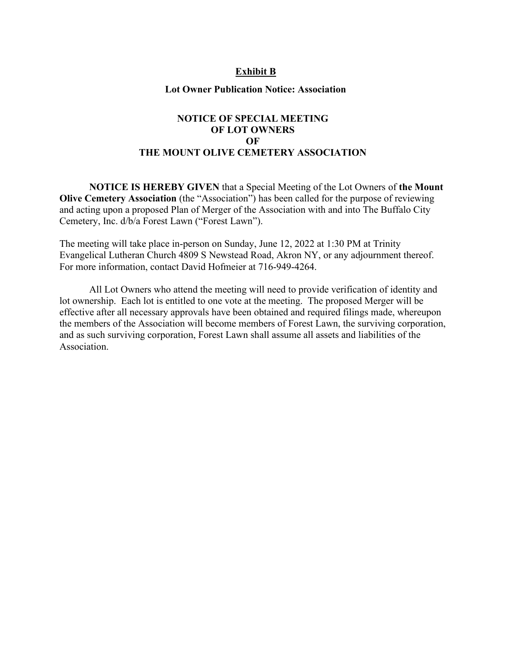#### **Exhibit B**

#### **Lot Owner Publication Notice: Association**

#### **NOTICE OF SPECIAL MEETING OF LOT OWNERS OF THE MOUNT OLIVE CEMETERY ASSOCIATION**

**NOTICE IS HEREBY GIVEN** that a Special Meeting of the Lot Owners of **the Mount Olive Cemetery Association** (the "Association") has been called for the purpose of reviewing and acting upon a proposed Plan of Merger of the Association with and into The Buffalo City Cemetery, Inc. d/b/a Forest Lawn ("Forest Lawn").

The meeting will take place in-person on Sunday, June 12, 2022 at 1:30 PM at Trinity Evangelical Lutheran Church 4809 S Newstead Road, Akron NY, or any adjournment thereof. For more information, contact David Hofmeier at 716-949-4264.

All Lot Owners who attend the meeting will need to provide verification of identity and lot ownership. Each lot is entitled to one vote at the meeting. The proposed Merger will be effective after all necessary approvals have been obtained and required filings made, whereupon the members of the Association will become members of Forest Lawn, the surviving corporation, and as such surviving corporation, Forest Lawn shall assume all assets and liabilities of the Association.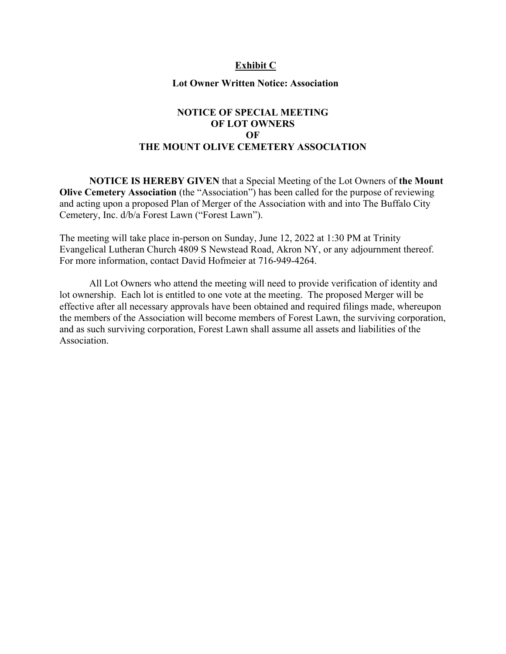#### **Exhibit C**

#### **Lot Owner Written Notice: Association**

#### **NOTICE OF SPECIAL MEETING OF LOT OWNERS OF THE MOUNT OLIVE CEMETERY ASSOCIATION**

**NOTICE IS HEREBY GIVEN** that a Special Meeting of the Lot Owners of **the Mount Olive Cemetery Association** (the "Association") has been called for the purpose of reviewing and acting upon a proposed Plan of Merger of the Association with and into The Buffalo City Cemetery, Inc. d/b/a Forest Lawn ("Forest Lawn").

The meeting will take place in-person on Sunday, June 12, 2022 at 1:30 PM at Trinity Evangelical Lutheran Church 4809 S Newstead Road, Akron NY, or any adjournment thereof. For more information, contact David Hofmeier at 716-949-4264.

All Lot Owners who attend the meeting will need to provide verification of identity and lot ownership. Each lot is entitled to one vote at the meeting. The proposed Merger will be effective after all necessary approvals have been obtained and required filings made, whereupon the members of the Association will become members of Forest Lawn, the surviving corporation, and as such surviving corporation, Forest Lawn shall assume all assets and liabilities of the Association.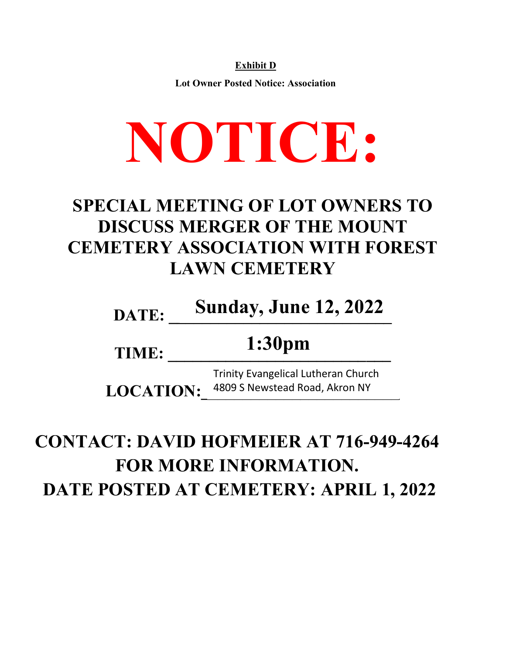**Exhibit D**

**Lot Owner Posted Notice: Association**

# **NOTICE:**

### **SPECIAL MEETING OF LOT OWNERS TO DISCUSS MERGER OF THE MOUNT CEMETERY ASSOCIATION WITH FOREST LAWN CEMETERY**

# **DATE: \_\_\_\_\_\_\_\_\_\_\_\_\_\_\_\_\_\_\_\_\_\_\_\_\_\_\_ Sunday, June 12, 2022**

#### **TIME: \_\_\_\_\_\_\_\_\_\_\_\_\_\_\_\_\_\_\_\_\_\_\_\_\_\_\_ 1:30pm**

LOCATION: 4809 S Newstead Road, Akron NY Trinity Evangelical Lutheran Church

## **CONTACT: DAVID HOFMEIER AT 716-949-4264 FOR MORE INFORMATION. DATE POSTED AT CEMETERY: APRIL 1, 2022**